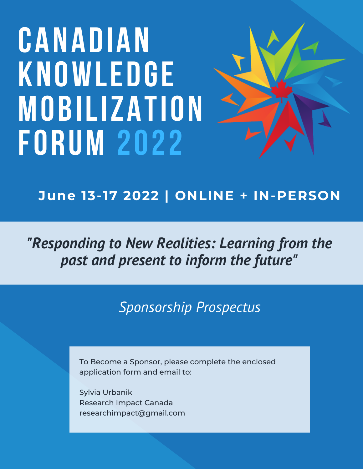# **CANADIAN KNOWLEDGE MOBILIZATION FORUM 2022**



*"Responding to New Realities: Learning from the past and present to inform the future"*

*Sponsorship Prospectus*

To Become a Sponsor, please complete the enclosed application form and email to:

Sylvia Urbanik Research Impact Canada researchimpact@gmail.com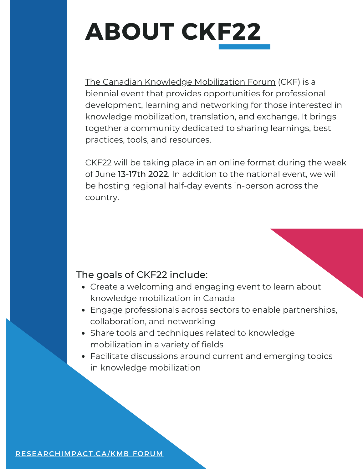# **ABOUT CKF22**

The Canadian Knowledge [Mobilization](https://researchimpact.ca/kmb-forum/) Forum (CKF) is a biennial event that provides opportunities for professional development, learning and networking for those interested in knowledge mobilization, translation, and exchange. It brings together a community dedicated to sharing learnings, best practices, tools, and resources.

CKF22 will be taking place in an online format during the week of June 13-17th 2022. In addition to the national event, we will be hosting regional half-day events in-person across the country.

#### The goals of CKF22 include:

- Create a welcoming and engaging event to learn about knowledge mobilization in Canada
- Engage professionals across sectors to enable partnerships, collaboration, and networking
- Share tools and techniques related to knowledge mobilization in a variety of fields
- Facilitate discussions around current and emerging topics in knowledge mobilization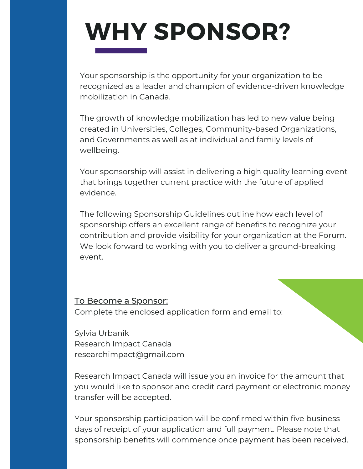# **WHY SPONSOR?**

Your sponsorship is the opportunity for your organization to be recognized as a leader and champion of evidence-driven knowledge mobilization in Canada.

The growth of knowledge mobilization has led to new value being created in Universities, Colleges, Community-based Organizations, and Governments as well as at individual and family levels of wellbeing.

Your sponsorship will assist in delivering a high quality learning event that brings together current practice with the future of applied evidence.

The following Sponsorship Guidelines outline how each level of sponsorship offers an excellent range of benefits to recognize your contribution and provide visibility for your organization at the Forum. We look forward to working with you to deliver a ground-breaking event.

#### To Become a Sponsor:

Complete the enclosed application form and email to:

Sylvia Urbanik Research Impact Canada researchimpact@gmail.com

Research Impact Canada will issue you an invoice for the amount that you would like to sponsor and credit card payment or electronic money transfer will be accepted.

Your sponsorship participation will be confirmed within five business days of receipt of your application and full payment. Please note that sponsorship benefits will commence once payment has been received.